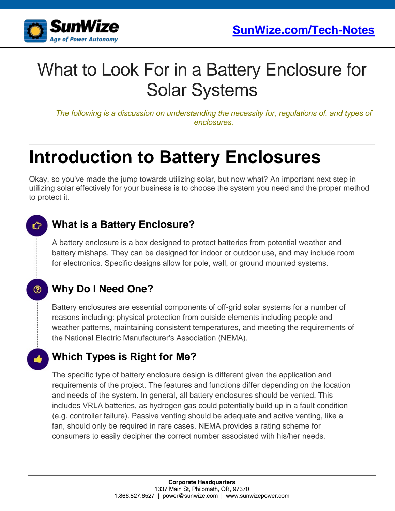

## What to Look For in a Battery Enclosure for Solar Systems

*The following is a discussion on understanding the necessity for, regulations of, and types of enclosures.*

# **Introduction to Battery Enclosures**

Okay, so you've made the jump towards utilizing solar, but now what? An important next step in utilizing solar effectively for your business is to choose the system you need and the proper method to protect it.

### Û

℗

### **What is a Battery Enclosure?**

A battery enclosure is a box designed to protect batteries from potential weather and battery mishaps. They can be designed for indoor or outdoor use, and may include room for electronics. Specific designs allow for pole, wall, or ground mounted systems.

### **Why Do I Need One?**

Battery enclosures are essential components of off-grid solar systems for a number of reasons including: physical protection from outside elements including people and weather patterns, maintaining consistent temperatures, and meeting the requirements of the National Electric Manufacturer's Association (NEMA).

### **Which Types is Right for Me?**

The specific type of battery enclosure design is different given the application and requirements of the project. The features and functions differ depending on the location and needs of the system. In general, all battery enclosures should be vented. This includes VRLA batteries, as hydrogen gas could potentially build up in a fault condition (e.g. controller failure). Passive venting should be adequate and active venting, like a fan, should only be required in rare cases. NEMA provides a rating scheme for consumers to easily decipher the correct number associated with his/her needs.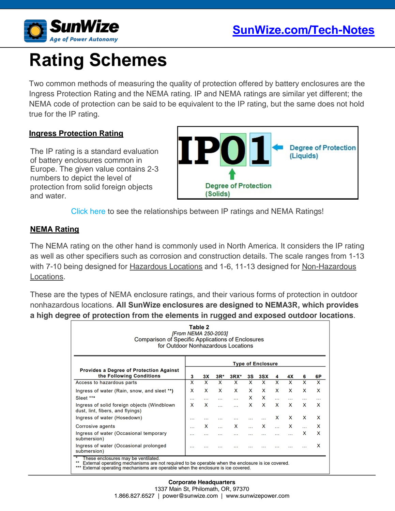

# **Rating Schemes**

Two common methods of measuring the quality of protection offered by battery enclosures are the Ingress Protection Rating and the NEMA rating. IP and NEMA ratings are similar yet different; the NEMA code of protection can be said to be equivalent to the IP rating, but the same does not hold true for the IP rating.

#### **Ingress Protection Rating**

The IP rating is a standard evaluation of battery enclosures common in Europe. The given value contains 2-3 numbers to depict the level of protection from solid foreign objects and water.



[Click here](https://www.sunwize.com/wp-content/uploads/2017/09/nemaenc.jpg) to see the relationships between IP ratings and NEMA Ratings!

#### **NEMA Rating**

The NEMA rating on the other hand is commonly used in North America. It considers the IP rating as well as other specifiers such as corrosion and construction details. The scale ranges from 1-13 with 7-10 being designed for Hazardous Locations and 1-6, 11-13 designed for Non-Hazardous Locations.

These are the types of NEMA enclosure ratings, and their various forms of protection in outdoor nonhazardous locations. **All SunWize enclosures are designed to NEMA3R, which provides a high degree of protection from the elements in rugged and exposed outdoor locations**.

| Table 2<br>[From NEMA 250-2003]<br>Comparison of Specific Applications of Enclosures<br>for Outdoor Nonhazardous Locations |                          |              |              |           |           |              |   |              |   |    |
|----------------------------------------------------------------------------------------------------------------------------|--------------------------|--------------|--------------|-----------|-----------|--------------|---|--------------|---|----|
| Provides a Degree of Protection Against<br>the Following Conditions                                                        | <b>Type of Enclosure</b> |              |              |           |           |              |   |              |   |    |
|                                                                                                                            | 3                        | 3X           | $3R^*$       | $3RX*$    | 3S        | 3SX          | 4 | 4X           | 6 | 6Р |
| Access to hazardous parts                                                                                                  | X                        | X            | X            | X         | X         | X            | X | $\mathsf{x}$ | X | X  |
| Ingress of water (Rain, snow, and sleet **)                                                                                | X                        | $\mathsf{x}$ | $\mathsf{x}$ | X         | X         | $\mathsf{x}$ | X | X            | X | X  |
| Sleet ***                                                                                                                  | $\cdots$                 | $\cdots$     |              | $\ddotsc$ | X         | X            | . |              |   |    |
| Ingress of solid foreign objects (Windblown)<br>dust, lint, fibers, and flyings)                                           | X                        | $\mathsf{x}$ |              |           | X         | X            | X | X            | X | X  |
| Ingress of water (Hosedown)                                                                                                | .                        |              |              |           |           |              | X | X            | X | X  |
| Corrosive agents                                                                                                           |                          | X            |              | X         | $\ddotsc$ | X            | . | X            |   | X  |
| Ingress of water (Occasional temporary<br>submersion)                                                                      |                          |              |              | .         |           |              |   |              | X | X  |
| Ingress of water (Occasional prolonged<br>submersion)                                                                      | $\cdot$ .                |              |              |           |           |              |   |              |   | X  |

\*\*\* External operating mechanisms are operable when the enclosure is ice covered.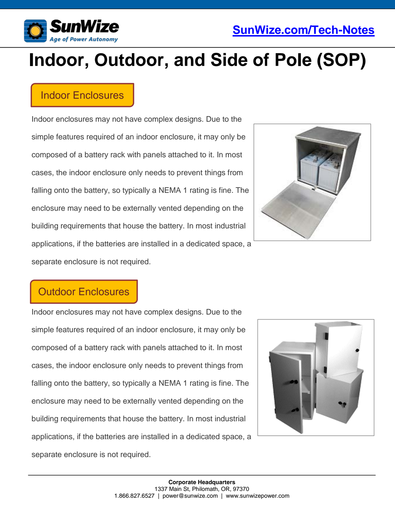



# **Indoor, Outdoor, and Side of Pole (SOP)**

### Indoor Enclosures

Indoor enclosures may not have complex designs. Due to the simple features required of an indoor enclosure, it may only be composed of a battery rack with panels attached to it. In most cases, the indoor enclosure only needs to prevent things from falling onto the battery, so typically a NEMA 1 rating is fine. The enclosure may need to be externally vented depending on the building requirements that house the battery. In most industrial applications, if the batteries are installed in a dedicated space, a separate enclosure is not required.



### Outdoor Enclosures

Indoor enclosures may not have complex designs. Due to the simple features required of an indoor enclosure, it may only be composed of a battery rack with panels attached to it. In most cases, the indoor enclosure only needs to prevent things from falling onto the battery, so typically a NEMA 1 rating is fine. The enclosure may need to be externally vented depending on the building requirements that house the battery. In most industrial applications, if the batteries are installed in a dedicated space, a separate enclosure is not required.